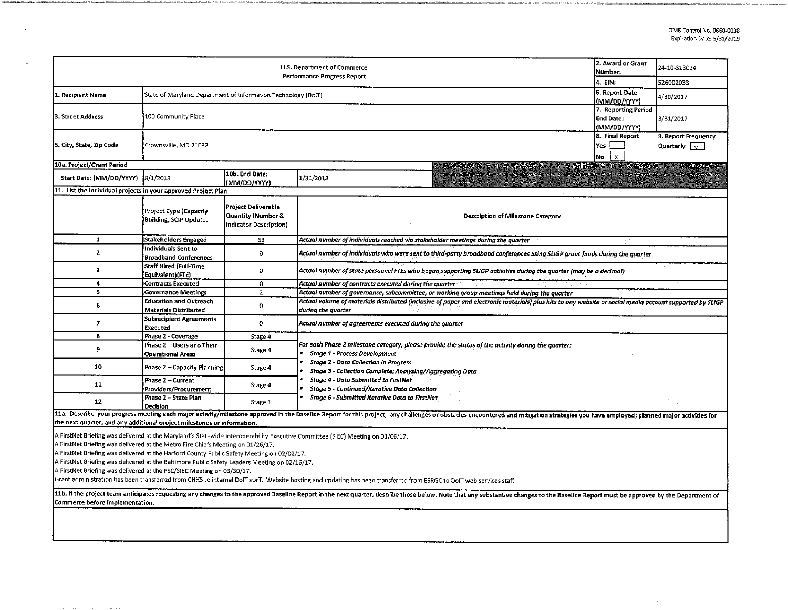$\sim$ 

| U.S. Department of Commerce<br>Performance Progress Report                                                                                                                                                                                                                                                                                                                                                                                                                                                                                                                                                                                                         |                                                               |                                                                            |                                                                                                                                                                                                                                |  | 24-10-513024<br>526002033 |  |  |  |  |
|--------------------------------------------------------------------------------------------------------------------------------------------------------------------------------------------------------------------------------------------------------------------------------------------------------------------------------------------------------------------------------------------------------------------------------------------------------------------------------------------------------------------------------------------------------------------------------------------------------------------------------------------------------------------|---------------------------------------------------------------|----------------------------------------------------------------------------|--------------------------------------------------------------------------------------------------------------------------------------------------------------------------------------------------------------------------------|--|---------------------------|--|--|--|--|
| 1. Recipient Name                                                                                                                                                                                                                                                                                                                                                                                                                                                                                                                                                                                                                                                  | State of Maryland Department of Information Technology (DoIT) | 4. EIN:<br>6. Report Date<br>(MM/DD/YYYY)                                  | 4/30/2017                                                                                                                                                                                                                      |  |                           |  |  |  |  |
| 3. Street Address                                                                                                                                                                                                                                                                                                                                                                                                                                                                                                                                                                                                                                                  | 100 Community Place                                           | 7. Reporting Period<br><b>End Date:</b><br>(MM/DD/YYYY)                    |                                                                                                                                                                                                                                |  |                           |  |  |  |  |
| 5. City, State, Zip Code                                                                                                                                                                                                                                                                                                                                                                                                                                                                                                                                                                                                                                           | Crownsville, MD 21032                                         | 8. Final Report<br>Yes<br>No                                               |                                                                                                                                                                                                                                |  |                           |  |  |  |  |
| 10a. Project/Grant Period                                                                                                                                                                                                                                                                                                                                                                                                                                                                                                                                                                                                                                          |                                                               |                                                                            |                                                                                                                                                                                                                                |  |                           |  |  |  |  |
| Start Date: (MM/DD/YYYY)                                                                                                                                                                                                                                                                                                                                                                                                                                                                                                                                                                                                                                           | 8/1/2013                                                      | 10b. End Date:<br>(MM/DD/YYYY)                                             | 1/31/2018                                                                                                                                                                                                                      |  |                           |  |  |  |  |
| 11. List the individual projects in your approved Project Plan                                                                                                                                                                                                                                                                                                                                                                                                                                                                                                                                                                                                     |                                                               |                                                                            |                                                                                                                                                                                                                                |  |                           |  |  |  |  |
|                                                                                                                                                                                                                                                                                                                                                                                                                                                                                                                                                                                                                                                                    | Project Type (Capacity<br>Building, SCIP Update,              | <b>Project Deliverable</b><br>Quantity (Number &<br>Indicator Description) | <b>Description of Milestone Category</b>                                                                                                                                                                                       |  |                           |  |  |  |  |
| $\mathbf{1}$                                                                                                                                                                                                                                                                                                                                                                                                                                                                                                                                                                                                                                                       | <b>Stakeholders Engaged</b>                                   | 63                                                                         | Actual number of individuals reached via stakeholder meetings during the quarter                                                                                                                                               |  |                           |  |  |  |  |
| $\overline{2}$                                                                                                                                                                                                                                                                                                                                                                                                                                                                                                                                                                                                                                                     | Individuals Sent to<br><b>Broadband Conferences</b>           | $\mathbf 0$                                                                | Actual number of individuals who were sent to third-party broadband conferences using SLIGP grant funds during the quarter                                                                                                     |  |                           |  |  |  |  |
| $\overline{\mathbf{3}}$                                                                                                                                                                                                                                                                                                                                                                                                                                                                                                                                                                                                                                            | <b>Staff Hired (Full-Time</b><br>Equivalent)(FTE)             | $\mathbf 0$                                                                | Actual number of state personnel FTEs who began supporting SLIGP activities during the quarter (may be a decimal)                                                                                                              |  |                           |  |  |  |  |
| 4                                                                                                                                                                                                                                                                                                                                                                                                                                                                                                                                                                                                                                                                  | <b>Contracts Executed</b>                                     | $\mathbf 0$                                                                | Actual number of contracts executed during the quarter                                                                                                                                                                         |  |                           |  |  |  |  |
| 5                                                                                                                                                                                                                                                                                                                                                                                                                                                                                                                                                                                                                                                                  | <b>Governance Meetings</b>                                    | $\overline{z}$                                                             | Actual number of governance, subcommittee, or working group meetings held during the quarter                                                                                                                                   |  |                           |  |  |  |  |
| 6                                                                                                                                                                                                                                                                                                                                                                                                                                                                                                                                                                                                                                                                  | <b>Education and Outreach</b><br><b>Materials Distributed</b> | $\overline{0}$                                                             | Actual volume of materials distributed (inclusive of paper and electronic materials) plus hits to any website or social media account supported by SLIGP<br>during the quarter                                                 |  |                           |  |  |  |  |
| 7                                                                                                                                                                                                                                                                                                                                                                                                                                                                                                                                                                                                                                                                  | <b>Subrecipient Agreements</b><br><b>Executed</b>             | $\circ$                                                                    | Actual number of agreements executed during the quarter                                                                                                                                                                        |  |                           |  |  |  |  |
| 8                                                                                                                                                                                                                                                                                                                                                                                                                                                                                                                                                                                                                                                                  | Phase 2 - Coverage                                            | Stage 4                                                                    |                                                                                                                                                                                                                                |  |                           |  |  |  |  |
| $\mathbf{9}$                                                                                                                                                                                                                                                                                                                                                                                                                                                                                                                                                                                                                                                       | Phase 2 - Users and Their<br><b>Operational Areas</b>         | Stage 4                                                                    | For each Phase 2 milestone category, please provide the status of the activity during the quarter:<br><b>Stage 1 - Process Development</b>                                                                                     |  |                           |  |  |  |  |
| 10                                                                                                                                                                                                                                                                                                                                                                                                                                                                                                                                                                                                                                                                 | <b>Phase 2 - Capacity Planning</b>                            | Stage 4                                                                    | <b>Stage 2 - Data Collection in Progress</b><br>Stage 3 - Collection Complete; Analyzing/Aggregating Data                                                                                                                      |  |                           |  |  |  |  |
| 11                                                                                                                                                                                                                                                                                                                                                                                                                                                                                                                                                                                                                                                                 | Phase 2 - Current<br>Providers/Procurement                    | Stage 4                                                                    | <b>Stage 4 - Data Submitted to FirstNet</b><br><b>Stage 5 - Continued/Iterative Data Collection</b>                                                                                                                            |  |                           |  |  |  |  |
| 12                                                                                                                                                                                                                                                                                                                                                                                                                                                                                                                                                                                                                                                                 | Phase 2 - State Plan<br>Decision                              | Stage 1                                                                    | <b>Stage 6 - Submitted Iterative Data to FirstNet</b>                                                                                                                                                                          |  |                           |  |  |  |  |
| the next quarter; and any additional project milestones or information.                                                                                                                                                                                                                                                                                                                                                                                                                                                                                                                                                                                            |                                                               |                                                                            | 11a. Describe your progress meeting each major activity/milestone approved in the Baseline Report for this project; any challenges or obstacles encountered and mitigation strategies you have employed; planned major activit |  |                           |  |  |  |  |
| A FirstNet Briefing was delivered at the Maryland's Statewide Interoperability Executive Committee (SIEC) Meeting on 01/06/17.<br>A FirstNet Briefing was delivered at the Metro Fire Chiefs Meeting on 01/26/17.<br>A FirstNet Briefing was delivered at the Harford County Public Safety Meeting on 02/02/17.<br>A FirstNet Briefing was delivered at the Baltimore Public Safety Leaders Meeting on 02/16/17.<br>A FirstNet Briefing was delivered at the PSC/SIEC Meeting on 03/30/17.<br>Grant administration has been transferred from CHHS to internal DoIT staff. Website hosting and updating has been transferred from ESRGC to DoIT web services staff. |                                                               |                                                                            |                                                                                                                                                                                                                                |  |                           |  |  |  |  |
| Commerce before implementation.                                                                                                                                                                                                                                                                                                                                                                                                                                                                                                                                                                                                                                    |                                                               |                                                                            | 11b. If the project team anticipates requesting any changes to the approved Baseline Report in the next quarter, describe those below. Note that any substantive changes to the Baseline Report must be approved by the Depart |  |                           |  |  |  |  |
|                                                                                                                                                                                                                                                                                                                                                                                                                                                                                                                                                                                                                                                                    |                                                               |                                                                            |                                                                                                                                                                                                                                |  |                           |  |  |  |  |

 $\frac{1}{3}$  .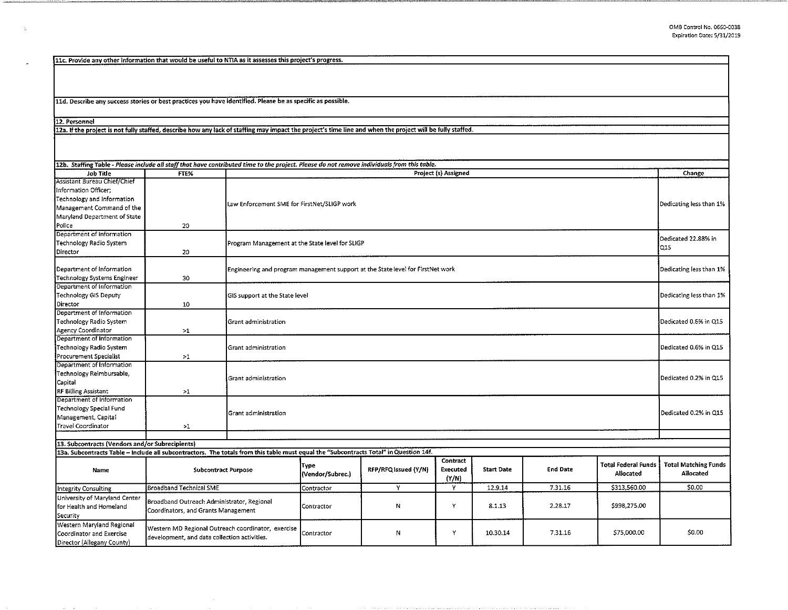llc. Provide any other information that would be useful to NTIA as it assesses this project's progress.

lld. Describe any success stories or best practices you have identified. Please be as specific as possible.

12. Personnel

 $\lesssim$ 

12a. If the project is not fully staffed, describe how any lack of staffing may impact the project's time line and when the project will be fully staffed.

| 12b. Staffing Table - Please include all staff that have contributed time to the project. Please do not remove individuals from this table.               |                                                                                                    |                                |                                                                                                            |                      |                               |                   |                 |                                         |                                          |
|-----------------------------------------------------------------------------------------------------------------------------------------------------------|----------------------------------------------------------------------------------------------------|--------------------------------|------------------------------------------------------------------------------------------------------------|----------------------|-------------------------------|-------------------|-----------------|-----------------------------------------|------------------------------------------|
| <b>Job Title</b>                                                                                                                                          | FTE%                                                                                               |                                | Project (s) Assigned                                                                                       |                      |                               |                   |                 | Change                                  |                                          |
| Assistant Bureau Chief/Chief<br>Information Officer;<br>Technology and Information<br>Management Command of the<br>Maryland Department of State<br>Police | 20                                                                                                 |                                | Law Enforcement SME for FirstNet/SLIGP work                                                                |                      |                               |                   |                 |                                         | Dedicating less than 1%                  |
| Department of information<br><b>Technology Radio System</b><br>Director                                                                                   | 20                                                                                                 |                                | Program Management at the State level for SLIGP                                                            |                      |                               |                   |                 |                                         | Dedicated 22.88% in<br>Q15               |
| Department of Information<br>Technology Systems Engineer                                                                                                  | 30                                                                                                 |                                | Dedicating less than 1%<br>Engineering and program management support at the State level for FirstNet work |                      |                               |                   |                 |                                         |                                          |
| Department of Information<br>Technology GIS Deputy<br>Director                                                                                            | 10                                                                                                 | GIS support at the State level |                                                                                                            |                      |                               |                   |                 |                                         | Dedicating less than 1%                  |
| Department of Information<br>Technology Radio System<br>Agency Coordinator                                                                                | >1                                                                                                 | Grant administration           |                                                                                                            |                      |                               |                   |                 |                                         | Dedicated 0.6% in Q15                    |
| Department of Information<br>Technology Radio System<br>Procurement Specialist                                                                            | >1                                                                                                 | Grant administration           |                                                                                                            |                      |                               |                   |                 |                                         | Dedicated 0.6% in Q15                    |
| Department of Information<br>Technology Reimbursable,<br>Capital<br><b>RF Billing Assistant</b>                                                           | >1                                                                                                 | Grant administration           |                                                                                                            |                      |                               |                   |                 |                                         | Dedicated 0.2% in Q15                    |
| Department of Information<br>Technology Special Fund<br>Management, Capital<br><b>Travel Coordinator</b>                                                  | >1                                                                                                 | Grant administration           |                                                                                                            |                      |                               |                   |                 | Dedicated 0.2% in Q15                   |                                          |
|                                                                                                                                                           |                                                                                                    |                                |                                                                                                            |                      |                               |                   |                 |                                         |                                          |
| 13. Subcontracts (Vendors and/or Subrecipients)                                                                                                           |                                                                                                    |                                |                                                                                                            |                      |                               |                   |                 |                                         |                                          |
| 13a. Subcontracts Table - Include all subcontractors. The totals from this table must equal the "Subcontracts Total" in Question 14f.                     |                                                                                                    |                                |                                                                                                            |                      |                               |                   |                 |                                         |                                          |
| Name                                                                                                                                                      | <b>Subcontract Purpose</b>                                                                         |                                | Type<br>(Vendor/Subrec.)                                                                                   | RFP/RFQ Issued (Y/N) | Contract<br>Executed<br>(Y/N) | <b>Start Date</b> | <b>End Date</b> | <b>Total Federal Funds</b><br>Allocated | <b>Total Matching Funds</b><br>Allocated |
| Integrity Consulting                                                                                                                                      | Broadband Technical SME                                                                            |                                |                                                                                                            | Y                    | Y                             | 12.9.14           | 7.31.16         | \$313,560.00                            | \$0.00                                   |
| University of Maryland Center<br>for Health and Homeland<br>Security                                                                                      | Contractor<br>Broadband Outreach Administrator, Regional<br>Coordinators, and Grants Management    |                                | Contractor                                                                                                 | Ν                    | Υ                             | 8.1.13            | 2.28.17         | \$998,275.00                            |                                          |
| Western Maryland Regional<br>Coordinator and Exercise<br>Director (Allegany County)                                                                       | Western MD Regional Outreach coordinator, exercise<br>development, and data collection activities. |                                | Contractor                                                                                                 | N                    | Y                             | 10.30.14          | 7.31.16         | \$75,000.00                             | \$0.00                                   |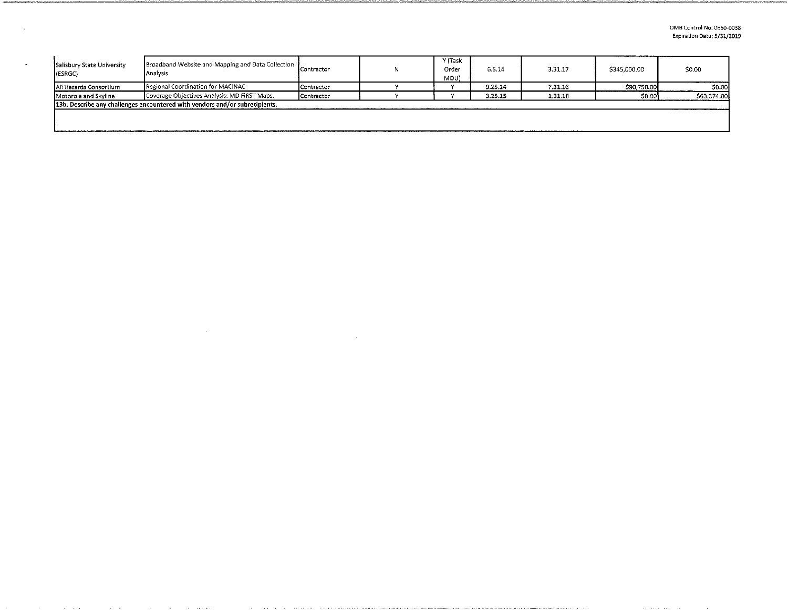| Broadband Website and Mapping and Data Collection<br>Salisbury State University<br>Analysis<br>(ESRGC) |                                                                               | <b>I</b> Contractor | Y (Task<br>Order<br>MOU) | 6.5.14  | 3.31.17 | \$345,000.00 | \$0.00      |
|--------------------------------------------------------------------------------------------------------|-------------------------------------------------------------------------------|---------------------|--------------------------|---------|---------|--------------|-------------|
| Ali Hazards Consortium                                                                                 | Regional Coordination for MACINAC                                             | Contractor          |                          | 9.25.14 | 7.31.16 | \$90,750.00  | \$0.00      |
| Motorola and Skyline                                                                                   | Coverage Objectives Analysis: MD FIRST Maps,                                  |                     |                          | 3.25.15 | 1.31.18 | \$0.001      | \$63,374,00 |
|                                                                                                        | [13b. Describe any challenges encountered with vendors and/or subrecipients.] |                     |                          |         |         |              |             |
|                                                                                                        |                                                                               |                     |                          |         |         |              |             |
|                                                                                                        |                                                                               |                     |                          |         |         |              |             |

 $\sim 10^7$ 

 $\sim 40$ 

 $\langle \tau_{\rm e} \rangle$ 

 $\omega_{\rm c}$